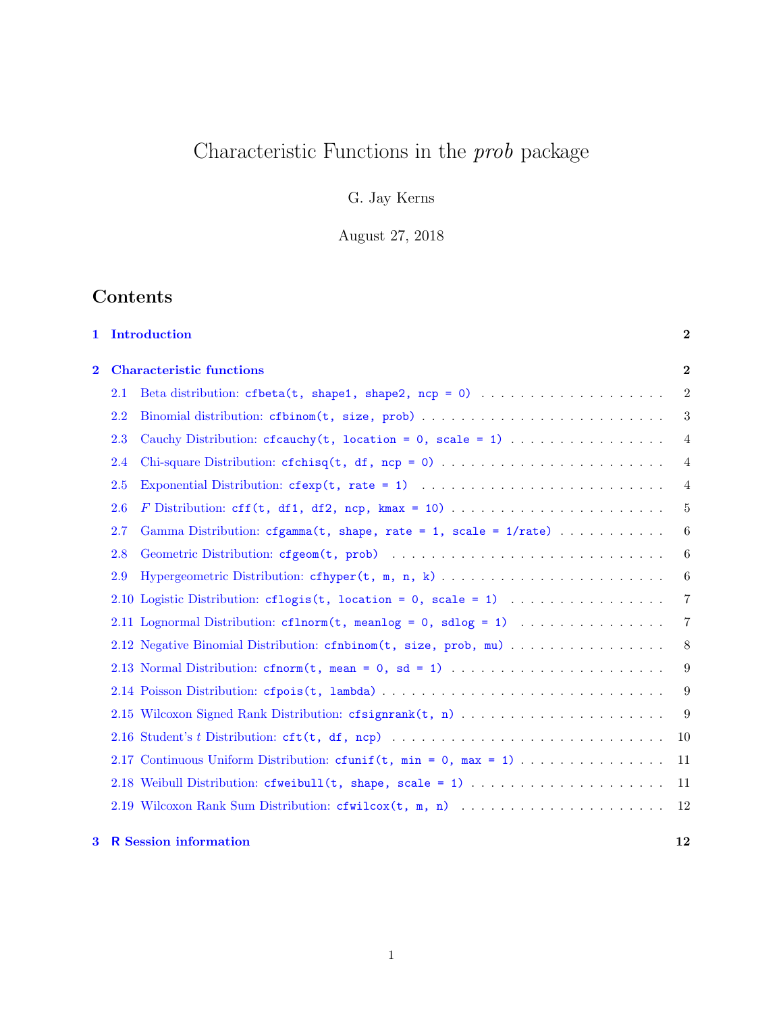# Characteristic Functions in the  $prob$  package

G. Jay Kerns

August 27, 2018

## Contents

| $\mathbf{1}$            |                                 | Introduction                                                              | $\bf{2}$        |
|-------------------------|---------------------------------|---------------------------------------------------------------------------|-----------------|
| $\overline{\mathbf{2}}$ | <b>Characteristic functions</b> |                                                                           | $\overline{2}$  |
|                         | 2.1                             |                                                                           | $\overline{2}$  |
|                         | 2.2                             | Binomial distribution: cfbinom(t, size, prob)                             | 3               |
|                         | 2.3                             |                                                                           | $\overline{4}$  |
|                         | 2.4                             |                                                                           | $\overline{4}$  |
|                         | 2.5                             |                                                                           | $\overline{4}$  |
|                         | 2.6                             |                                                                           | 5               |
|                         | 2.7                             | Gamma Distribution: cfgamma(t, shape, rate = 1, scale = $1/\text{rate}$ ) | 6               |
|                         | 2.8                             |                                                                           | 6               |
|                         | 2.9                             |                                                                           | 6               |
|                         |                                 | 2.10 Logistic Distribution: cflogis(t, location = 0, scale = 1)           | $\overline{7}$  |
|                         |                                 | 2.11 Lognormal Distribution: cflnorm(t, meanlog = 0, sdlog = 1)           | $\overline{7}$  |
|                         |                                 | 2.12 Negative Binomial Distribution: cfnbinom(t, size, prob, mu)          | $8\phantom{.0}$ |
|                         |                                 | 2.13 Normal Distribution: cfnorm(t, mean = 0, sd = 1)                     | 9               |
|                         |                                 |                                                                           | 9               |
|                         |                                 |                                                                           | 9               |
|                         |                                 |                                                                           | 10              |
|                         |                                 | 2.17 Continuous Uniform Distribution: cfunif $(t, min = 0, max = 1)$      | 11              |
|                         |                                 | 2.18 Weibull Distribution: cfweibull(t, shape, scale = 1)                 | 11              |
|                         |                                 |                                                                           | 12              |
| $\bf{3}$                |                                 | <b>R</b> Session information                                              | 12              |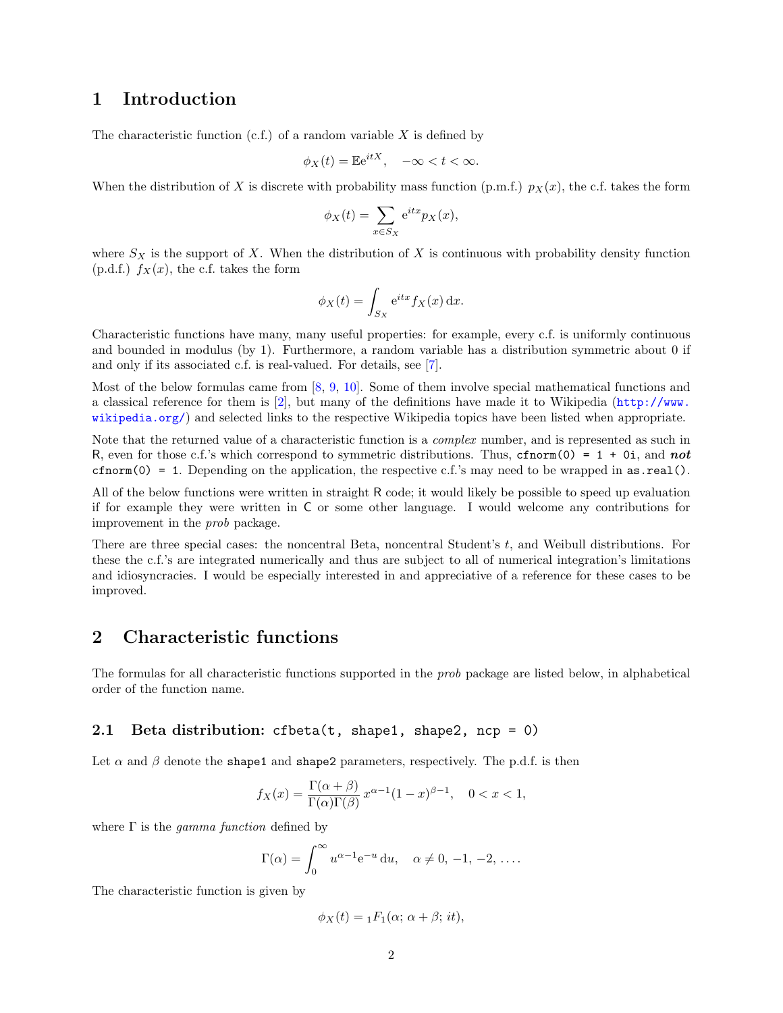## <span id="page-1-0"></span>1 Introduction

The characteristic function  $(c.f.)$  of a random variable X is defined by

$$
\phi_X(t) = \mathbb{E}e^{itX}, \quad -\infty < t < \infty.
$$

When the distribution of X is discrete with probability mass function (p.m.f.)  $p_X(x)$ , the c.f. takes the form

$$
\phi_X(t) = \sum_{x \in S_X} e^{itx} p_X(x),
$$

where  $S_X$  is the support of X. When the distribution of X is continuous with probability density function  $(p.d.f.)$   $f_X(x)$ , the c.f. takes the form

$$
\phi_X(t) = \int_{S_X} e^{itx} f_X(x) dx.
$$

Characteristic functions have many, many useful properties: for example, every c.f. is uniformly continuous and bounded in modulus (by 1). Furthermore, a random variable has a distribution symmetric about 0 if and only if its associated c.f. is real-valued. For details, see [\[7\]](#page-12-0).

Most of the below formulas came from [\[8,](#page-12-1) [9,](#page-12-2) [10\]](#page-12-3). Some of them involve special mathematical functions and a classical reference for them is [\[2\]](#page-11-2), but many of the definitions have made it to Wikipedia ([http://www.](http://www.wikipedia.org/) [wikipedia.org/](http://www.wikipedia.org/)) and selected links to the respective Wikipedia topics have been listed when appropriate.

Note that the returned value of a characteristic function is a *complex* number, and is represented as such in R, even for those c.f.'s which correspond to symmetric distributions. Thus, cfnorm(0) = 1 + 0i, and not cfnorm(0) = 1. Depending on the application, the respective c.f.'s may need to be wrapped in  $as.read()$ .

All of the below functions were written in straight R code; it would likely be possible to speed up evaluation if for example they were written in C or some other language. I would welcome any contributions for improvement in the prob package.

There are three special cases: the noncentral Beta, noncentral Student's t, and Weibull distributions. For these the c.f.'s are integrated numerically and thus are subject to all of numerical integration's limitations and idiosyncracies. I would be especially interested in and appreciative of a reference for these cases to be improved.

## <span id="page-1-1"></span>2 Characteristic functions

The formulas for all characteristic functions supported in the prob package are listed below, in alphabetical order of the function name.

## <span id="page-1-2"></span>2.1 Beta distribution: cfbeta(t, shape1, shape2, ncp = 0)

Let  $\alpha$  and  $\beta$  denote the shape1 and shape2 parameters, respectively. The p.d.f. is then

$$
f_X(x) = \frac{\Gamma(\alpha + \beta)}{\Gamma(\alpha)\Gamma(\beta)} x^{\alpha - 1} (1 - x)^{\beta - 1}, \quad 0 < x < 1,
$$

where  $\Gamma$  is the *gamma function* defined by

$$
\Gamma(\alpha) = \int_0^\infty u^{\alpha - 1} e^{-u} du, \quad \alpha \neq 0, -1, -2, \dots
$$

The characteristic function is given by

$$
\phi_X(t) = {}_1F_1(\alpha; \alpha + \beta; it),
$$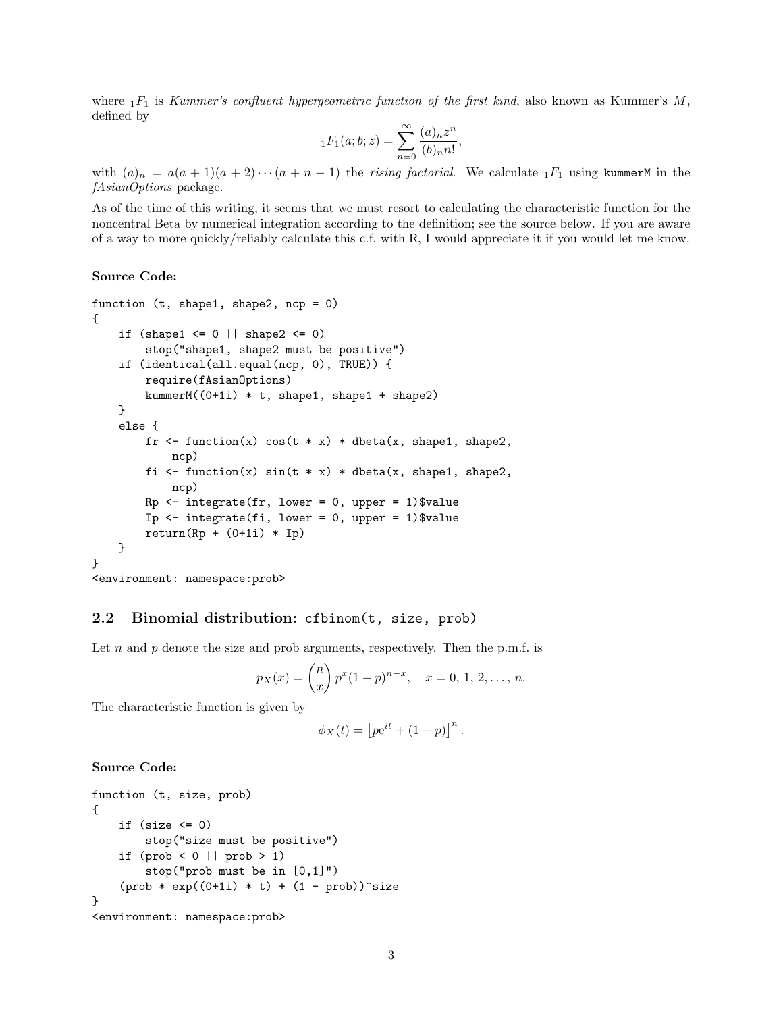where  $1F_1$  is Kummer's confluent hypergeometric function of the first kind, also known as Kummer's M, defined by

$$
{}_1F_1(a;b;z) = \sum_{n=0}^{\infty} \frac{(a)_n z^n}{(b)_n n!},
$$

with  $(a)_n = a(a+1)(a+2)\cdots(a+n-1)$  the rising factorial. We calculate  ${}_1F_1$  using kummerM in the fAsianOptions package.

As of the time of this writing, it seems that we must resort to calculating the characteristic function for the noncentral Beta by numerical integration according to the definition; see the source below. If you are aware of a way to more quickly/reliably calculate this c.f. with R, I would appreciate it if you would let me know.

#### Source Code:

```
function (t, shape1, shape2, ncp = 0){
    if (shape1 \leq 0 || shape2 \leq 0)
        stop("shape1, shape2 must be positive")
    if (identical(all.equal(ncp, 0), TRUE)) {
        require(fAsianOptions)
        kummerM((0+1i) * t, shape1, shape1 + shape2)
    }
    else {
        fr \le function(x) cos(t * x) * dbeta(x, shape1, shape2,
            ncp)
        fi \le function(x) sin(t * x) * dbeta(x, shape1, shape2,
            ncp)
        Rp \leftarrow \text{integrate}(fr, \text{lower} = 0, \text{ upper} = 1)\Ip \le integrate(fi, lower = 0, upper = 1)$value
        return(Rp + (0+1i) * Ip)}
}
<environment: namespace:prob>
```
#### <span id="page-2-0"></span>2.2 Binomial distribution: cfbinom(t, size, prob)

Let n and p denote the size and prob arguments, respectively. Then the p.m.f. is

$$
p_X(x) = {n \choose x} p^x (1-p)^{n-x}, \quad x = 0, 1, 2, \dots, n.
$$

The characteristic function is given by

$$
\phi_X(t) = \left[ p e^{it} + (1 - p) \right]^n.
$$

```
function (t, size, prob)
{
     if (size \leq 0)
         stop("size must be positive")
     if (\text{prob} < 0 \mid \mid \text{prob} > 1)stop("prob must be in [0,1]")
     (\text{prob} * \text{exp}((0+1i) * t) + (1 - \text{prob}))^2size
}
<environment: namespace:prob>
```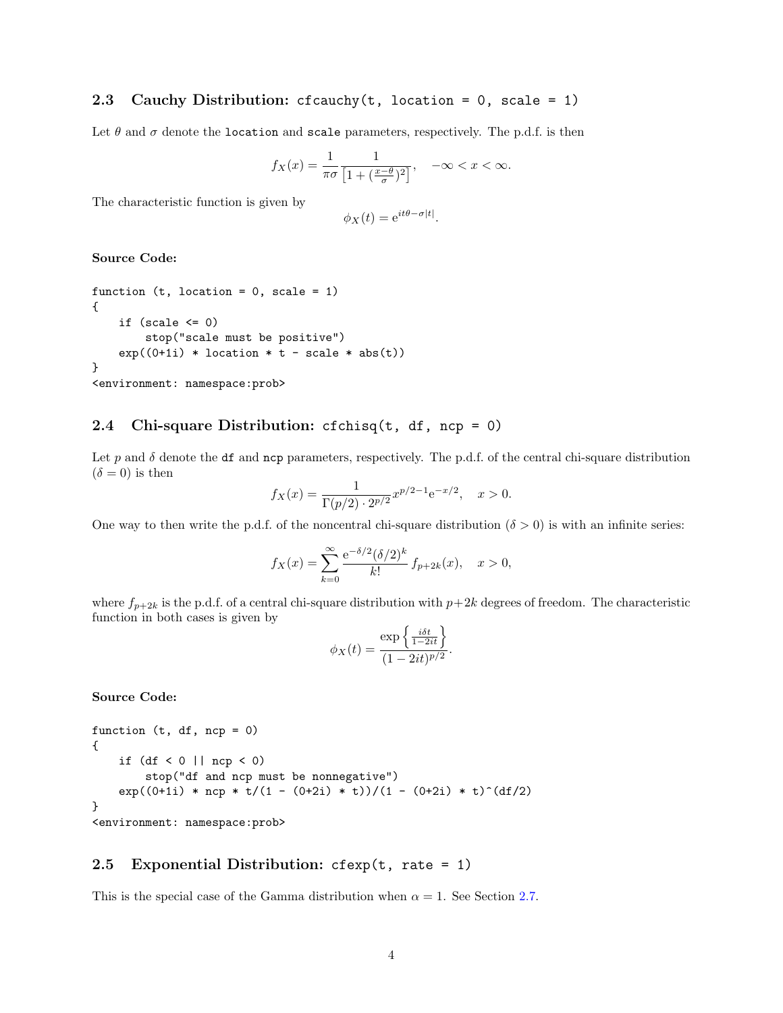## <span id="page-3-0"></span>2.3 Cauchy Distribution: cfcauchy  $(t, \text{location} = 0, \text{ scale} = 1)$

Let  $\theta$  and  $\sigma$  denote the location and scale parameters, respectively. The p.d.f. is then

$$
f_X(x) = \frac{1}{\pi\sigma} \frac{1}{\left[1 + \left(\frac{x-\theta}{\sigma}\right)^2\right]}, \quad -\infty < x < \infty.
$$

The characteristic function is given by

$$
\phi_X(t) = e^{it\theta - \sigma|t|}.
$$

#### Source Code:

```
function (t, location = 0, scale = 1)
{
    if (scale \leq 0)
        stop("scale must be positive")
    exp((0+1i) * location * t - scale * abs(t))}
<environment: namespace:prob>
```
#### <span id="page-3-1"></span>2.4 Chi-square Distribution: cfchisq(t, df, ncp = 0)

Let p and  $\delta$  denote the df and ncp parameters, respectively. The p.d.f. of the central chi-square distribution  $(\delta = 0)$  is then

$$
f_X(x) = \frac{1}{\Gamma(p/2) \cdot 2^{p/2}} x^{p/2 - 1} e^{-x/2}, \quad x > 0.
$$

One way to then write the p.d.f. of the noncentral chi-square distribution ( $\delta > 0$ ) is with an infinite series:

$$
f_X(x) = \sum_{k=0}^{\infty} \frac{e^{-\delta/2} (\delta/2)^k}{k!} f_{p+2k}(x), \quad x > 0,
$$

where  $f_{p+2k}$  is the p.d.f. of a central chi-square distribution with  $p+2k$  degrees of freedom. The characteristic function in both cases is given by

$$
\phi_X(t) = \frac{\exp\left\{\frac{i\delta t}{1-2it}\right\}}{(1-2it)^{p/2}}.
$$

Source Code:

```
function (t, df, ncp = 0)
{
   if (df < 0 || ncp < 0)stop("df and ncp must be nonnegative")
   exp((0+1i) * ncp * t/(1 - (0+2i) * t))/(1 - (0+2i) * t)^{d}}
```
<environment: namespace:prob>

### <span id="page-3-2"></span>2.5 Exponential Distribution:  $c$ fexp $(t,$  rate = 1)

This is the special case of the Gamma distribution when  $\alpha = 1$ . See Section [2.7.](#page-5-0)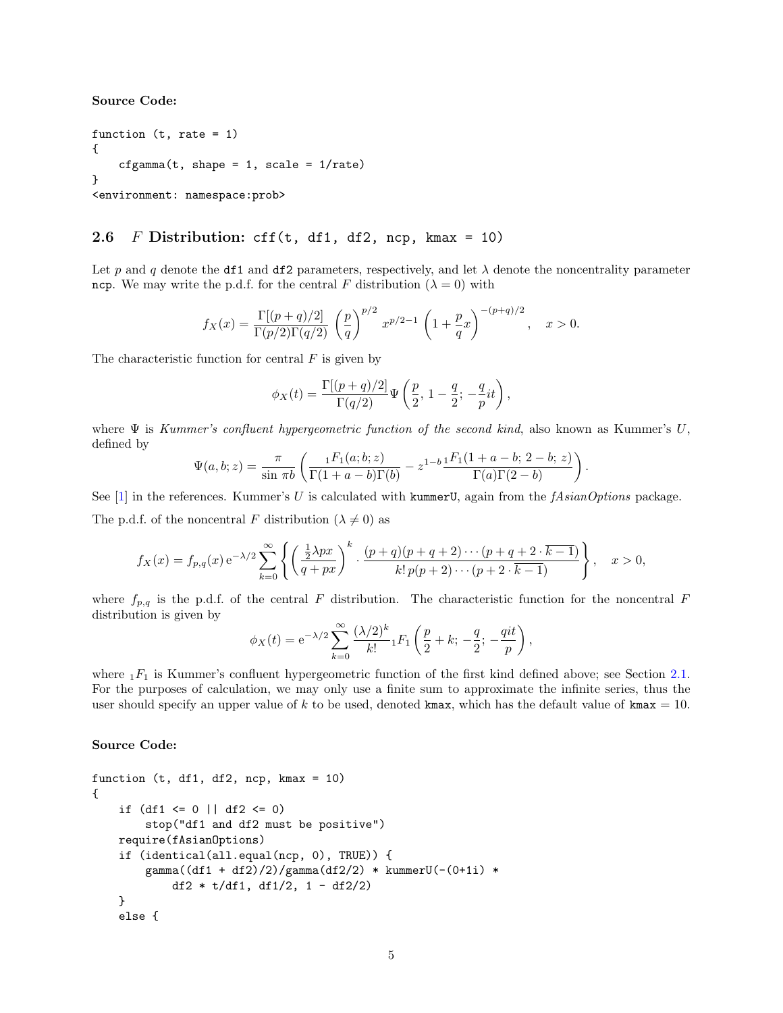Source Code:

```
function (t, rate = 1)
{
    cfgamma(t, shape = 1, scale = 1/rate)}
<environment: namespace:prob>
```
#### <span id="page-4-0"></span>2.6 F Distribution: cff(t, df1, df2, ncp, kmax = 10)

Let p and q denote the df1 and df2 parameters, respectively, and let  $\lambda$  denote the noncentrality parameter ncp. We may write the p.d.f. for the central F distribution ( $\lambda = 0$ ) with

$$
f_X(x) = \frac{\Gamma[(p+q)/2]}{\Gamma(p/2)\Gamma(q/2)} \left(\frac{p}{q}\right)^{p/2} x^{p/2-1} \left(1 + \frac{p}{q}x\right)^{-(p+q)/2}, \quad x > 0.
$$

The characteristic function for central  $F$  is given by

$$
\phi_X(t) = \frac{\Gamma[(p+q)/2]}{\Gamma(q/2)} \Psi\left(\frac{p}{2}, 1 - \frac{q}{2}; -\frac{q}{p}it\right),\,
$$

where  $\Psi$  is Kummer's confluent hypergeometric function of the second kind, also known as Kummer's U, defined by

$$
\Psi(a,b;z) = \frac{\pi}{\sin \pi b} \left( \frac{{}_1F_1(a;b;z)}{\Gamma(1+a-b)\Gamma(b)} - z^{1-b} \frac{{}_1F_1(1+a-b;2-b;z)}{\Gamma(a)\Gamma(2-b)} \right).
$$

See  $[1]$  in the references. Kummer's U is calculated with kummerU, again from the fAsianOptions package.

The p.d.f. of the noncentral F distribution ( $\lambda \neq 0$ ) as

$$
f_X(x) = f_{p,q}(x) e^{-\lambda/2} \sum_{k=0}^{\infty} \left\{ \left( \frac{\frac{1}{2}\lambda px}{q+px} \right)^k \cdot \frac{(p+q)(p+q+2)\cdots(p+q+2\cdot k-1)}{k!p(p+2)\cdots(p+2\cdot k-1)} \right\}, \quad x > 0,
$$

where  $f_{p,q}$  is the p.d.f. of the central F distribution. The characteristic function for the noncentral F distribution is given by

$$
\phi_X(t) = e^{-\lambda/2} \sum_{k=0}^{\infty} \frac{(\lambda/2)^k}{k!} {}_1F_1\left(\frac{p}{2} + k; -\frac{q}{2}; -\frac{qit}{p}\right),
$$

where  $_1F_1$  is Kummer's confluent hypergeometric function of the first kind defined above; see Section [2.1.](#page-1-2) For the purposes of calculation, we may only use a finite sum to approximate the infinite series, thus the user should specify an upper value of k to be used, denoted kmax, which has the default value of kmax = 10.

```
function (t, df1, df2, ncp, kmax = 10){
    if (df1 \le 0 || df2 \le 0)stop("df1 and df2 must be positive")
   require(fAsianOptions)
    if (identical(all.equal(ncp, 0), TRUE)) {
        gamma((df1 + df2)/2)/gamma(df2/2) * kummerU(-(0+1i) *df2 * t/df1, df1/2, 1 - df2/2)}
   else {
```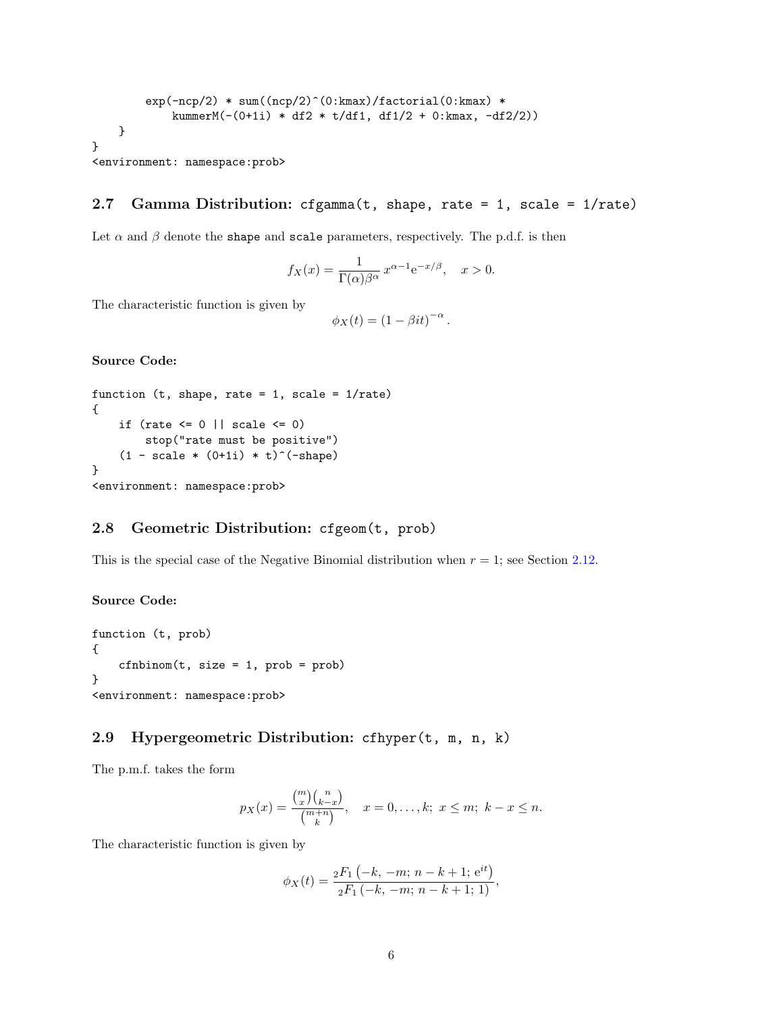```
exp(-ncp/2) * sum((ncp/2)^(0:kmax)/factorial(0:kmax) *kummerM(-(0+1i) * df2 * t/df1, df1/2 + 0:kmax, -df2/2))
    }
}
```

```
<environment: namespace:prob>
```
## <span id="page-5-0"></span>2.7 Gamma Distribution: cfgamma(t, shape, rate = 1, scale = 1/rate)

Let  $\alpha$  and  $\beta$  denote the shape and scale parameters, respectively. The p.d.f. is then

$$
f_X(x) = \frac{1}{\Gamma(\alpha)\beta^{\alpha}} x^{\alpha - 1} e^{-x/\beta}, \quad x > 0.
$$

The characteristic function is given by

$$
\phi_X(t) = (1 - \beta it)^{-\alpha}.
$$

Source Code:

```
function (t, shape, rate = 1, scale = 1/\text{rate})
{
    if (rate \leq 0 || scale \leq 0)
        stop("rate must be positive")
    (1 - scale * (0+1i) * t)^{-(-shape)}}
<environment: namespace:prob>
```
## <span id="page-5-1"></span>2.8 Geometric Distribution: cfgeom(t, prob)

This is the special case of the Negative Binomial distribution when  $r = 1$ ; see Section [2.12.](#page-7-0)

#### Source Code:

```
function (t, prob)
{
    cfnbinom(t, size = 1, prob = prob)}
<environment: namespace:prob>
```
## <span id="page-5-2"></span>2.9 Hypergeometric Distribution: cfhyper(t, m, n, k)

The p.m.f. takes the form

$$
p_X(x) = \frac{\binom{m}{x} \binom{n}{k-x}}{\binom{m+n}{k}}, \quad x = 0, \dots, k; \ x \le m; \ k - x \le n.
$$

The characteristic function is given by

$$
\phi_X(t) = \frac{{}_2F_1(-k, -m; n-k+1; e^{it})}{{}_2F_1(-k, -m; n-k+1; 1)},
$$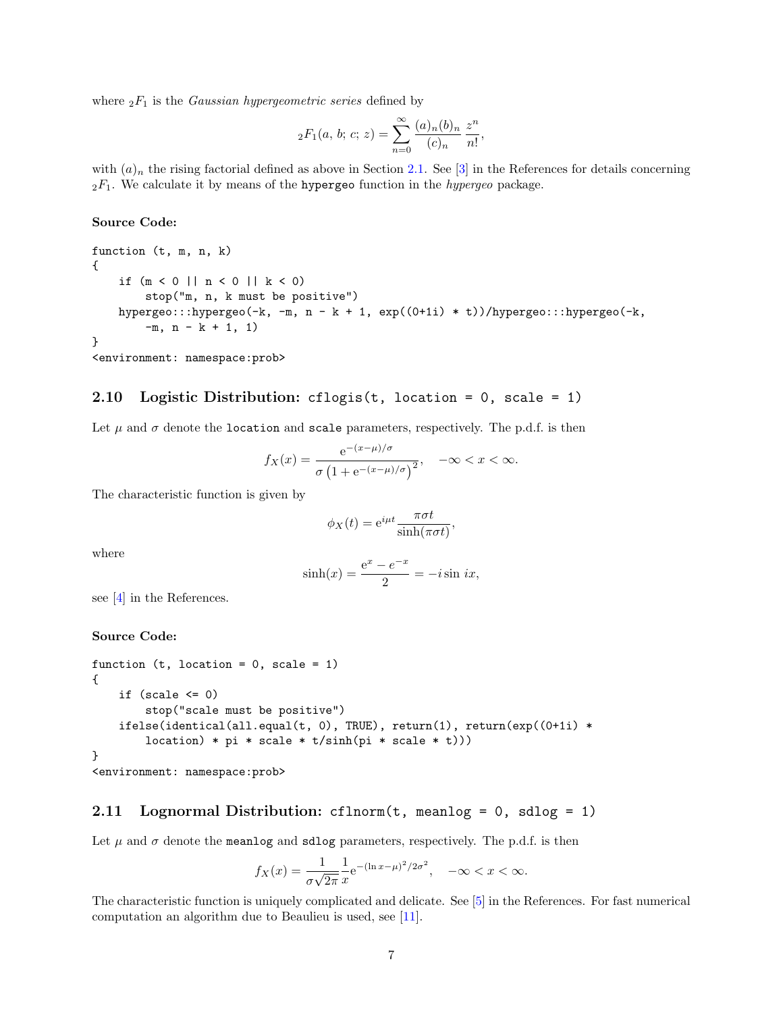where  ${}_2F_1$  is the *Gaussian hypergeometric series* defined by

$$
{}_2F_1(a, b; c; z) = \sum_{n=0}^{\infty} \frac{(a)_n (b)_n}{(c)_n} \frac{z^n}{n!},
$$

with  $(a)_n$  the rising factorial defined as above in Section [2.1.](#page-1-2) See [\[3\]](#page-11-4) in the References for details concerning  $2F_1$ . We calculate it by means of the hypergeo function in the *hypergeo* package.

#### Source Code:

```
function (t, m, n, k){
    if (m < 0 || n < 0 || k < 0)stop("m, n, k must be positive")
   hypergeo:::hypergeo(-k, -m, n - k + 1, exp((0+1i) * t))/hypergeo:::hypergeo(-k,
        -m, n - k + 1, 1)
}
<environment: namespace:prob>
```
## <span id="page-6-0"></span>2.10 Logistic Distribution: cflogis(t, location = 0, scale = 1)

Let  $\mu$  and  $\sigma$  denote the location and scale parameters, respectively. The p.d.f. is then

$$
f_X(x) = \frac{e^{-(x-\mu)/\sigma}}{\sigma(1 + e^{-(x-\mu)/\sigma})^2}, \quad -\infty < x < \infty.
$$

The characteristic function is given by

$$
\phi_X(t) = e^{i\mu t} \frac{\pi \sigma t}{\sinh(\pi \sigma t)},
$$

where

$$
\sinh(x) = \frac{e^x - e^{-x}}{2} = -i \sin ix,
$$

see [\[4\]](#page-11-5) in the References.

#### Source Code:

```
function (t, location = 0, scale = 1){
   if (scale \leq 0)
        stop("scale must be positive")
   ifelse(identical(all.equal(t, 0), TRUE), return(1), return(exp((0+1i) *location) * pi * scale * t/sinh(pi * scale * t)))}
```

```
<environment: namespace:prob>
```
#### <span id="page-6-1"></span>2.11 Lognormal Distribution: cflnorm(t, meanlog = 0, sdlog = 1)

Let  $\mu$  and  $\sigma$  denote the meanlog and sdlog parameters, respectively. The p.d.f. is then

$$
f_X(x) = \frac{1}{\sigma\sqrt{2\pi}} \frac{1}{x} e^{-(\ln x - \mu)^2/2\sigma^2}, \quad -\infty < x < \infty.
$$

The characteristic function is uniquely complicated and delicate. See [\[5\]](#page-11-6) in the References. For fast numerical computation an algorithm due to Beaulieu is used, see [\[11\]](#page-12-4).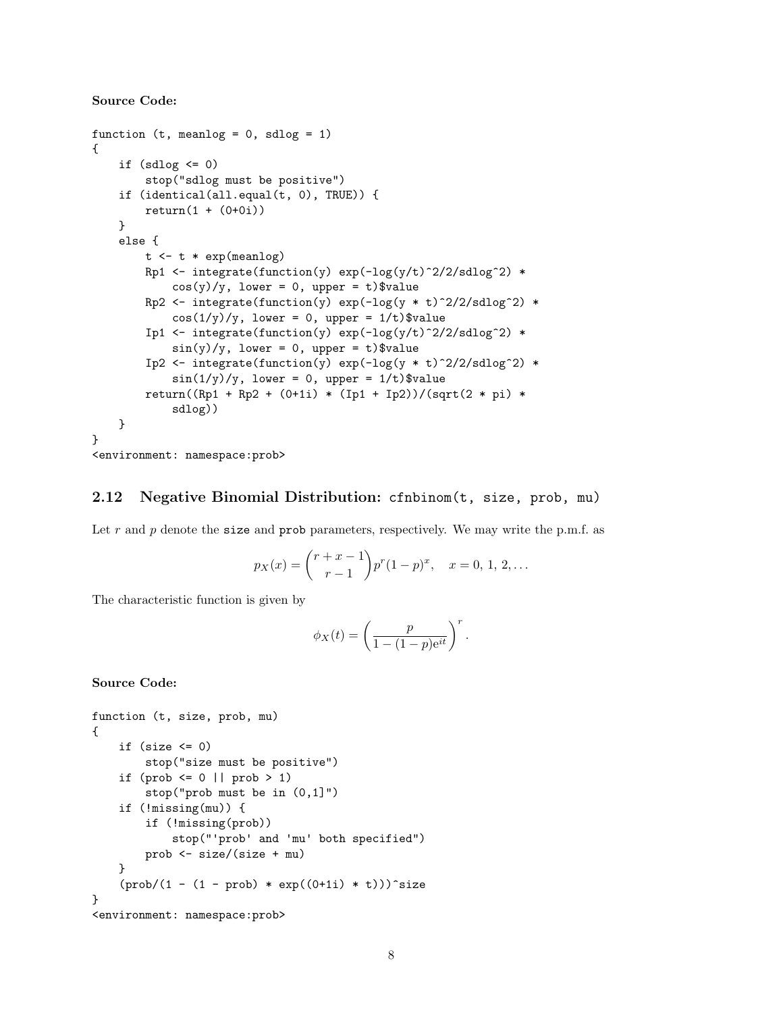Source Code:

```
function (t, meanlog = 0, sdlog = 1)
{
    if (sdlog \leq 0)
        stop("sdlog must be positive")
    if (identical(all.equal(t, 0), TRUE)) {
        return(1 + (0+0i))
    }
    else {
        t \leq -t * exp(meanlog)Rp1 <- integrate(function(y) exp(-log(y/t)^2/2/sdlog^2) *
            cos(y)/y, lower = 0, upper = t)$value
        Rp2 \leftarrow \text{integrate}(\text{function}(y) \exp(-\log(y * t)^2/2/\text{sdlog}^2) *
             cos(1/y)/y, lower = 0, upper = 1/t)$value
        Ip1 \leftarrow integrate(function(y) exp(-log(y/t)^2/2/sdlog^2) *
            sin(y)/y, lower = 0, upper = t)$value
        Ip2 <- integrate(function(y) exp(-log(y * t)^2/2/sdlog^2) *
             sin(1/y)/y, lower = 0, upper = 1/t)$value
        return((Rp1 + Rp2 + (0+1i) * (Ip1 + Ip2))/(sqrt(2 * pi) *sdlog))
    }
}
```

```
<environment: namespace:prob>
```
#### <span id="page-7-0"></span>2.12 Negative Binomial Distribution: cfnbinom(t, size, prob, mu)

Let r and p denote the size and prob parameters, respectively. We may write the p.m.f. as

$$
p_X(x) = {r+x-1 \choose r-1} p^r (1-p)^x, \quad x = 0, 1, 2, ...
$$

The characteristic function is given by

$$
\phi_X(t) = \left(\frac{p}{1 - (1 - p)e^{it}}\right)^r.
$$

```
function (t, size, prob, mu)
{
    if (size \leq 0)
         stop("size must be positive")
    if (prob \leq 0 || prob > 1)
        stop("prob must be in (0,1]")
    if (!missing(mu)) {
         if (!missing(prob))
             stop("'prob' and 'mu' both specified")
        prob <- size/(size + mu)
    }
    (\text{prob}/(1 - (1 - \text{prob}) * \text{exp}((0+1i) * t)))<sup>s</sup>ize
}
<environment: namespace:prob>
```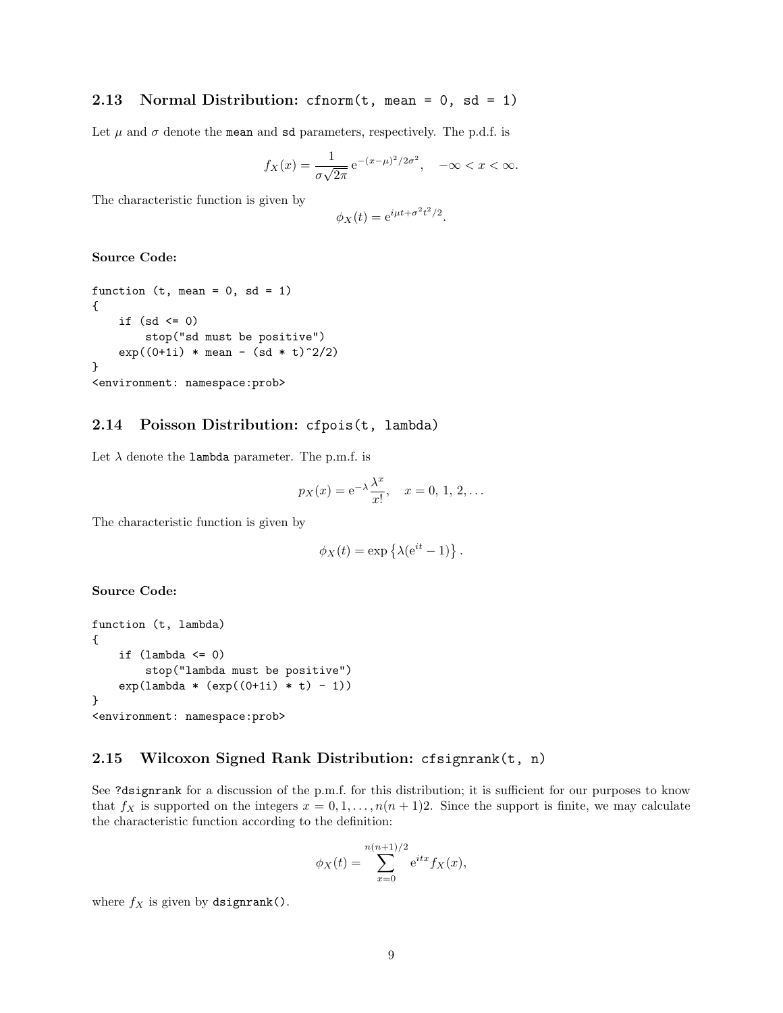## <span id="page-8-0"></span>2.13 Normal Distribution: cfnorm $(t,$  mean = 0, sd = 1)

Let  $\mu$  and  $\sigma$  denote the mean and sd parameters, respectively. The p.d.f. is

$$
f_X(x) = \frac{1}{\sigma\sqrt{2\pi}} e^{-(x-\mu)^2/2\sigma^2}, \quad -\infty < x < \infty.
$$

The characteristic function is given by

$$
\phi_X(t) = e^{i\mu t + \sigma^2 t^2/2}.
$$

#### Source Code:

```
function (t, mean = 0, sd = 1){
    if (sd \leq 0)
        stop("sd must be positive")
    exp((0+1i) * mean - (sd * t)^2/2)}
<environment: namespace:prob>
```
#### <span id="page-8-1"></span>2.14 Poisson Distribution: cfpois(t, lambda)

Let  $\lambda$  denote the lambda parameter. The p.m.f. is

$$
p_X(x) = e^{-\lambda} \frac{\lambda^x}{x!}, \quad x = 0, 1, 2, ...
$$

The characteristic function is given by

$$
\phi_X(t) = \exp\left\{\lambda(e^{it} - 1)\right\}.
$$

#### Source Code:

```
function (t, lambda)
{
    if (lambda \leq 0)stop("lambda must be positive")
    exp(lambda * (exp((0+1i) * t) - 1))}
<environment: namespace:prob>
```
### <span id="page-8-2"></span>2.15 Wilcoxon Signed Rank Distribution: cfsignrank(t, n)

See ?dsignrank for a discussion of the p.m.f. for this distribution; it is sufficient for our purposes to know that  $f_X$  is supported on the integers  $x = 0, 1, \ldots, n(n + 1)2$ . Since the support is finite, we may calculate the characteristic function according to the definition:

$$
\phi_X(t) = \sum_{x=0}^{n(n+1)/2} e^{itx} f_X(x),
$$

where  $f_X$  is given by dsignrank().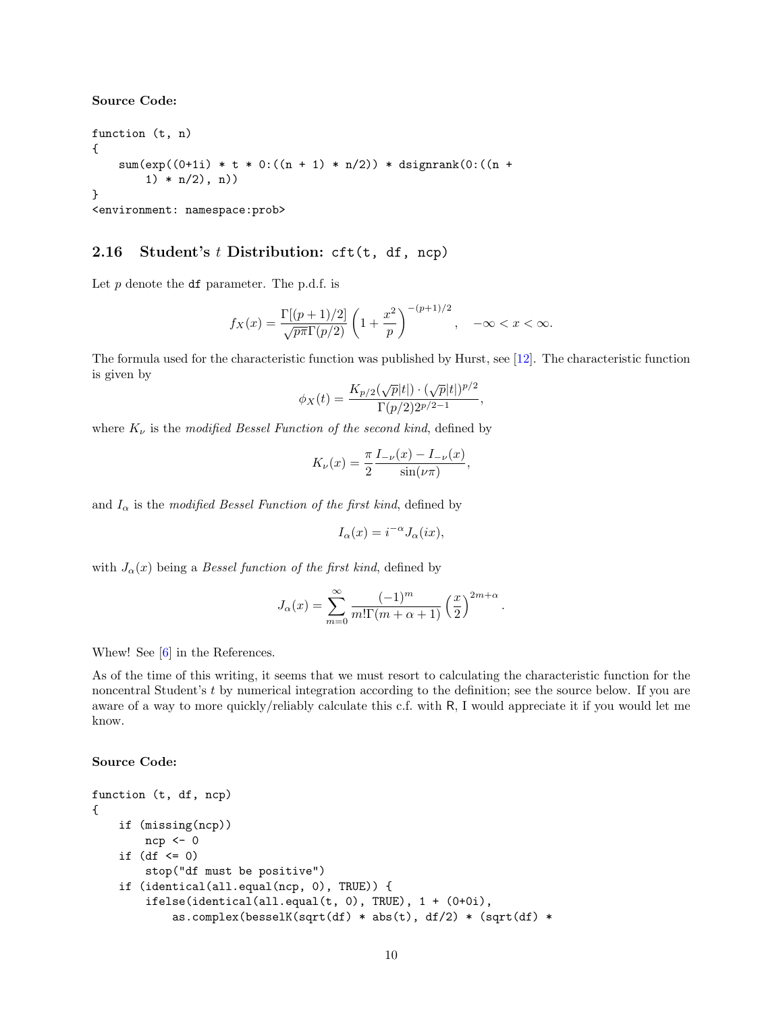Source Code:

function (t, n) {  $sum(exp((0+1i) * t * 0:((n + 1) * n/2)) * disptrain(0:((n + 1) * n/2)))$  $1) * n(2), n)$ } <environment: namespace:prob>

## <span id="page-9-0"></span>2.16 Student's  $t$  Distribution: cft(t, df, ncp)

Let  $p$  denote the df parameter. The p.d.f. is

$$
f_X(x) = \frac{\Gamma[(p+1)/2]}{\sqrt{p\pi}\Gamma(p/2)} \left(1 + \frac{x^2}{p}\right)^{-(p+1)/2}, \quad -\infty < x < \infty.
$$

The formula used for the characteristic function was published by Hurst, see [\[12\]](#page-12-5). The characteristic function is given by

$$
\phi_X(t) = \frac{K_{p/2}(\sqrt{p}|t|) \cdot (\sqrt{p}|t|)^{p/2}}{\Gamma(p/2)2^{p/2-1}},
$$

where  $K_{\nu}$  is the modified Bessel Function of the second kind, defined by

$$
K_{\nu}(x) = \frac{\pi}{2} \frac{I_{-\nu}(x) - I_{-\nu}(x)}{\sin(\nu \pi)},
$$

and  $I_{\alpha}$  is the modified Bessel Function of the first kind, defined by

$$
I_{\alpha}(x) = i^{-\alpha} J_{\alpha}(ix),
$$

with  $J_{\alpha}(x)$  being a Bessel function of the first kind, defined by

$$
J_{\alpha}(x) = \sum_{m=0}^{\infty} \frac{(-1)^m}{m!\Gamma(m+\alpha+1)} \left(\frac{x}{2}\right)^{2m+\alpha}.
$$

Whew! See [\[6\]](#page-12-6) in the References.

As of the time of this writing, it seems that we must resort to calculating the characteristic function for the noncentral Student's t by numerical integration according to the definition; see the source below. If you are aware of a way to more quickly/reliably calculate this c.f. with R, I would appreciate it if you would let me know.

```
function (t, df, ncp)
{
    if (missing(ncp))
        ncp \leftarrow 0if (df \le 0)stop("df must be positive")
    if (identical(all.equal(ncp, 0), TRUE)) {
        ifelse(identical(all.equal(t, 0), TRUE), 1 + (0+0i),
            as.complex(besselK(sqrt(df) * abs(t), df/2) * (sqrt(df) *
```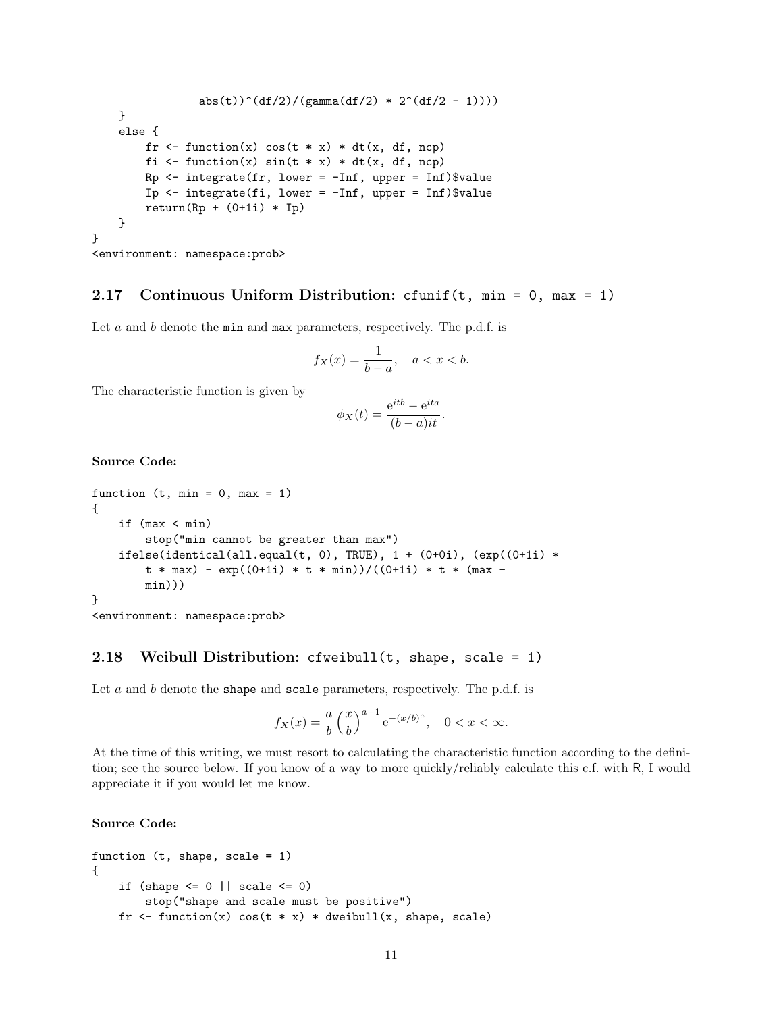```
abs(t))^(df/2)/(gamma(df/2) * 2^(df/2 - 1))))
    }
    else {
         fr \leftarrow function(x) cos(t * x) * dt(x, df, ncp)
         fi \leq function(x) sin(t * x) * dt(x, df, ncp)Rp \leftarrow integrate(fr, lower = \text{-Inf}, upper = Inf)$value
         Ip \leftarrow integrate(fi, lower = \text{-Inf}, upper = Inf)$value
         return(Rp + (0+1i) * Ip)}
}
```

```
<environment: namespace:prob>
```
## <span id="page-10-0"></span>2.17 Continuous Uniform Distribution: cfunif(t, min = 0, max = 1)

Let a and b denote the min and max parameters, respectively. The p.d.f. is

$$
f_X(x) = \frac{1}{b-a}, \quad a < x < b.
$$

The characteristic function is given by

$$
\phi_X(t) = \frac{e^{itb} - e^{ita}}{(b-a)it}.
$$

#### Source Code:

```
function (t, min = 0, max = 1){
   if (max < min)
        stop("min cannot be greater than max")
    ifelse(identical(all.equal(t, 0), TRUE), 1 + (0+0i), (exp((0+1i) *
        t * max) - exp((0+1i) * t * min))/((0+1i) * t * (max -min)))
}
```
#### <environment: namespace:prob>

### <span id="page-10-1"></span>2.18 Weibull Distribution: cfweibull(t, shape, scale = 1)

Let  $a$  and  $b$  denote the shape and scale parameters, respectively. The p.d.f. is

$$
f_X(x) = \frac{a}{b} \left(\frac{x}{b}\right)^{a-1} e^{-(x/b)^a}, \quad 0 < x < \infty.
$$

At the time of this writing, we must resort to calculating the characteristic function according to the definition; see the source below. If you know of a way to more quickly/reliably calculate this c.f. with R, I would appreciate it if you would let me know.

```
function (t, shape, scale = 1)
{
    if (shape \leq 0 || scale \leq 0)
        stop("shape and scale must be positive")
    fr \le function(x) cos(t * x) * dweibull(x, shape, scale)
```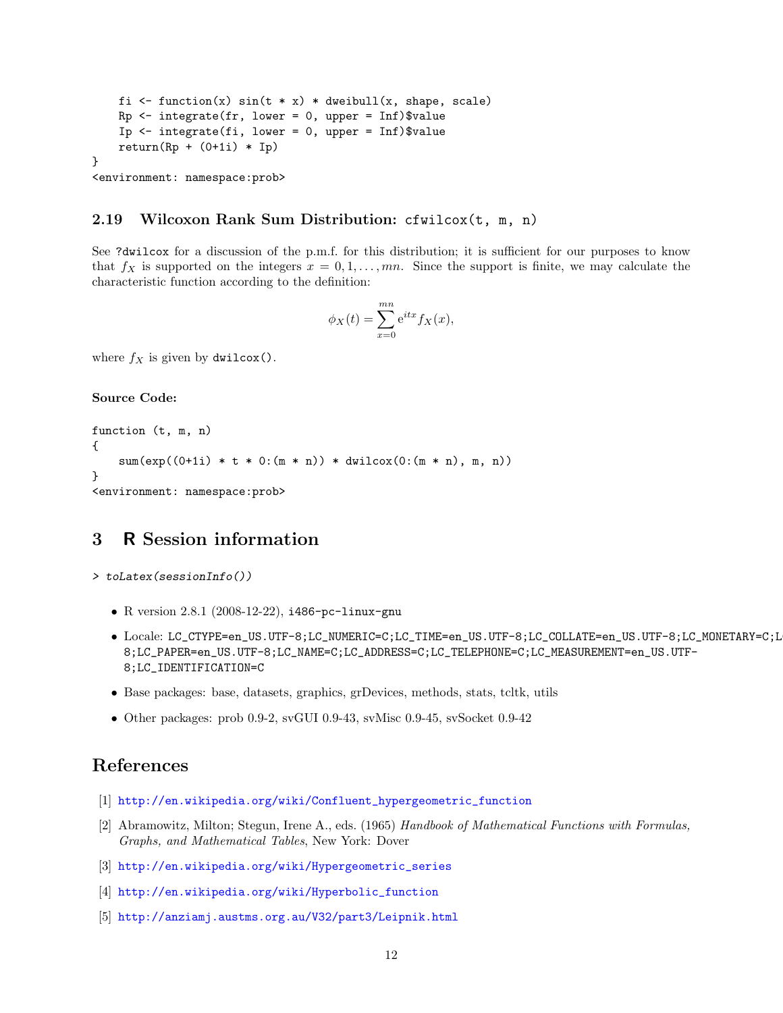```
fi \leq function(x) sin(t * x) * dweibull(x, shape, scale)
    Rp \leftarrow integrate(fr, lower = 0, upper = Inf)$value
    Ip \le integrate(fi, lower = 0, upper = Inf)$value
    return(Rp + (0+1i) * Ip)}
<environment: namespace:prob>
```
#### <span id="page-11-0"></span>2.19 Wilcoxon Rank Sum Distribution: cfwilcox(t, m, n)

See ?dwilcox for a discussion of the p.m.f. for this distribution; it is sufficient for our purposes to know that  $f_X$  is supported on the integers  $x = 0, 1, \ldots, mn$ . Since the support is finite, we may calculate the characteristic function according to the definition:

$$
\phi_X(t) = \sum_{x=0}^{mn} e^{itx} f_X(x),
$$

where  $f_X$  is given by dwilcox().

#### Source Code:

```
function (t, m, n)
{
   sum(exp((0+1i) * t * 0:(m * n)) * dwilcox(0:(m * n), m, n))}
<environment: namespace:prob>
```
## <span id="page-11-1"></span>3 R Session information

```
> toLatex(sessionInfo())
```
- R version 2.8.1 (2008-12-22), i486-pc-linux-gnu
- Locale: LC\_CTYPE=en\_US.UTF-8;LC\_NUMERIC=C;LC\_TIME=en\_US.UTF-8;LC\_COLLATE=en\_US.UTF-8;LC\_MONETARY=C;L 8;LC\_PAPER=en\_US.UTF-8;LC\_NAME=C;LC\_ADDRESS=C;LC\_TELEPHONE=C;LC\_MEASUREMENT=en\_US.UTF-8;LC\_IDENTIFICATION=C
- Base packages: base, datasets, graphics, grDevices, methods, stats, tcltk, utils
- Other packages: prob 0.9-2, svGUI 0.9-43, svMisc 0.9-45, svSocket 0.9-42

## References

- <span id="page-11-3"></span>[1] [http://en.wikipedia.org/wiki/Confluent\\_hypergeometric\\_function](http://en.wikipedia.org/wiki/Confluent_hypergeometric_function)
- <span id="page-11-2"></span>[2] Abramowitz, Milton; Stegun, Irene A., eds. (1965) Handbook of Mathematical Functions with Formulas, Graphs, and Mathematical Tables, New York: Dover
- <span id="page-11-4"></span>[3] [http://en.wikipedia.org/wiki/Hypergeometric\\_series](http://en.wikipedia.org/wiki/Hypergeometric_series)
- <span id="page-11-5"></span>[4] [http://en.wikipedia.org/wiki/Hyperbolic\\_function](http://en.wikipedia.org/wiki/Hyperbolic_function)
- <span id="page-11-6"></span>[5] <http://anziamj.austms.org.au/V32/part3/Leipnik.html>